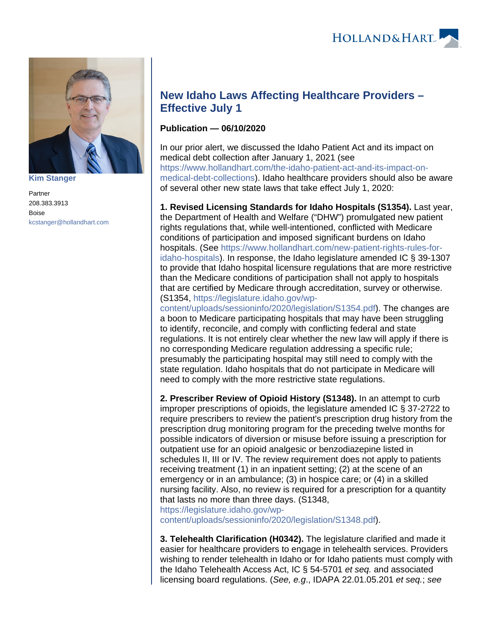

**[Kim Stanger](https://www.hollandhart.com/15954)**

Partner 208.383.3913 Boise [kcstanger@hollandhart.com](mailto:kcstanger@hollandhart.com)

## **New Idaho Laws Affecting Healthcare Providers – Effective July 1**

## **Publication — 06/10/2020**

In our prior alert, we discussed the Idaho Patient Act and its impact on medical debt collection after January 1, 2021 (see [https://www.hollandhart.com/the-idaho-patient-act-and-its-impact-on](https://www.hollandhart.com/the-idaho-patient-act-and-its-impact-on-medical-debt-collections)[medical-debt-collections\)](https://www.hollandhart.com/the-idaho-patient-act-and-its-impact-on-medical-debt-collections). Idaho healthcare providers should also be aware of several other new state laws that take effect July 1, 2020:

**1. Revised Licensing Standards for Idaho Hospitals (S1354).** Last year, the Department of Health and Welfare ("DHW") promulgated new patient rights regulations that, while well-intentioned, conflicted with Medicare conditions of participation and imposed significant burdens on Idaho hospitals. (See [https://www.hollandhart.com/new-patient-rights-rules-for](https://www.hollandhart.com/new-patient-rights-rules-for-idaho-hospitals)[idaho-hospitals\)](https://www.hollandhart.com/new-patient-rights-rules-for-idaho-hospitals). In response, the Idaho legislature amended IC § 39-1307 to provide that Idaho hospital licensure regulations that are more restrictive than the Medicare conditions of participation shall not apply to hospitals that are certified by Medicare through accreditation, survey or otherwise. (S1354, [https://legislature.idaho.gov/wp-](https://legislature.idaho.gov/wp-content/uploads/sessioninfo/2020/legislation/S1354.pdf)

[content/uploads/sessioninfo/2020/legislation/S1354.pdf](https://legislature.idaho.gov/wp-content/uploads/sessioninfo/2020/legislation/S1354.pdf)). The changes are a boon to Medicare participating hospitals that may have been struggling to identify, reconcile, and comply with conflicting federal and state regulations. It is not entirely clear whether the new law will apply if there is no corresponding Medicare regulation addressing a specific rule; presumably the participating hospital may still need to comply with the state regulation. Idaho hospitals that do not participate in Medicare will need to comply with the more restrictive state regulations.

**2. Prescriber Review of Opioid History (S1348).** In an attempt to curb improper prescriptions of opioids, the legislature amended IC § 37-2722 to require prescribers to review the patient's prescription drug history from the prescription drug monitoring program for the preceding twelve months for possible indicators of diversion or misuse before issuing a prescription for outpatient use for an opioid analgesic or benzodiazepine listed in schedules II, III or IV. The review requirement does not apply to patients receiving treatment (1) in an inpatient setting; (2) at the scene of an emergency or in an ambulance; (3) in hospice care; or (4) in a skilled nursing facility. Also, no review is required for a prescription for a quantity that lasts no more than three days. (S1348,

[https://legislature.idaho.gov/wp-](https://legislature.idaho.gov/wp-content/uploads/sessioninfo/2020/legislation/S1348.pdf)

[content/uploads/sessioninfo/2020/legislation/S1348.pdf](https://legislature.idaho.gov/wp-content/uploads/sessioninfo/2020/legislation/S1348.pdf)).

**3. Telehealth Clarification (H0342).** The legislature clarified and made it easier for healthcare providers to engage in telehealth services. Providers wishing to render telehealth in Idaho or for Idaho patients must comply with the Idaho Telehealth Access Act, IC § 54-5701 et seq. and associated licensing board regulations. (See, e.g., IDAPA 22.01.05.201 et seq.; see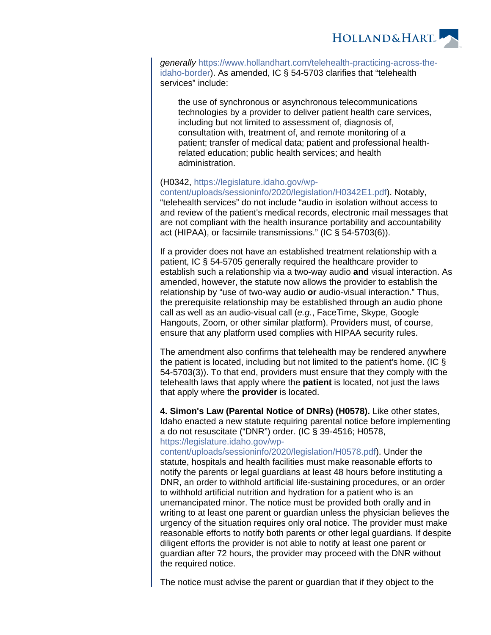

generally [https://www.hollandhart.com/telehealth-practicing-across-the](https://www.hollandhart.com/telehealth-practicing-across-the-idaho-border)[idaho-border](https://www.hollandhart.com/telehealth-practicing-across-the-idaho-border)). As amended, IC § 54-5703 clarifies that "telehealth services" include:

the use of synchronous or asynchronous telecommunications technologies by a provider to deliver patient health care services, including but not limited to assessment of, diagnosis of, consultation with, treatment of, and remote monitoring of a patient; transfer of medical data; patient and professional healthrelated education; public health services; and health administration.

## (H0342, [https://legislature.idaho.gov/wp-](https://legislature.idaho.gov/wp-content/uploads/sessioninfo/2020/legislation/H0342E1.pdf)

[content/uploads/sessioninfo/2020/legislation/H0342E1.pdf](https://legislature.idaho.gov/wp-content/uploads/sessioninfo/2020/legislation/H0342E1.pdf)). Notably, "telehealth services" do not include "audio in isolation without access to and review of the patient's medical records, electronic mail messages that are not compliant with the health insurance portability and accountability act (HIPAA), or facsimile transmissions." (IC § 54-5703(6)).

If a provider does not have an established treatment relationship with a patient, IC § 54-5705 generally required the healthcare provider to establish such a relationship via a two-way audio **and** visual interaction. As amended, however, the statute now allows the provider to establish the relationship by "use of two-way audio **or** audio-visual interaction." Thus, the prerequisite relationship may be established through an audio phone call as well as an audio-visual call (e.g., FaceTime, Skype, Google Hangouts, Zoom, or other similar platform). Providers must, of course, ensure that any platform used complies with HIPAA security rules.

The amendment also confirms that telehealth may be rendered anywhere the patient is located, including but not limited to the patient's home. (IC § 54-5703(3)). To that end, providers must ensure that they comply with the telehealth laws that apply where the **patient** is located, not just the laws that apply where the **provider** is located.

**4. Simon's Law (Parental Notice of DNRs) (H0578).** Like other states, Idaho enacted a new statute requiring parental notice before implementing a do not resuscitate ("DNR") order. (IC § 39-4516; H0578, [https://legislature.idaho.gov/wp-](https://legislature.idaho.gov/wp-content/uploads/sessioninfo/2020/legislation/H0578.pdf)

[content/uploads/sessioninfo/2020/legislation/H0578.pdf\)](https://legislature.idaho.gov/wp-content/uploads/sessioninfo/2020/legislation/H0578.pdf). Under the statute, hospitals and health facilities must make reasonable efforts to notify the parents or legal guardians at least 48 hours before instituting a DNR, an order to withhold artificial life-sustaining procedures, or an order to withhold artificial nutrition and hydration for a patient who is an unemancipated minor. The notice must be provided both orally and in writing to at least one parent or guardian unless the physician believes the urgency of the situation requires only oral notice. The provider must make reasonable efforts to notify both parents or other legal guardians. If despite diligent efforts the provider is not able to notify at least one parent or guardian after 72 hours, the provider may proceed with the DNR without the required notice.

The notice must advise the parent or guardian that if they object to the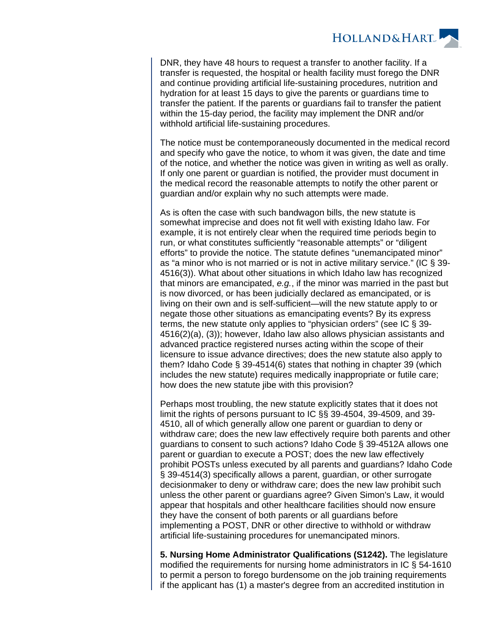

DNR, they have 48 hours to request a transfer to another facility. If a transfer is requested, the hospital or health facility must forego the DNR and continue providing artificial life-sustaining procedures, nutrition and hydration for at least 15 days to give the parents or guardians time to transfer the patient. If the parents or guardians fail to transfer the patient within the 15-day period, the facility may implement the DNR and/or withhold artificial life-sustaining procedures.

The notice must be contemporaneously documented in the medical record and specify who gave the notice, to whom it was given, the date and time of the notice, and whether the notice was given in writing as well as orally. If only one parent or guardian is notified, the provider must document in the medical record the reasonable attempts to notify the other parent or guardian and/or explain why no such attempts were made.

As is often the case with such bandwagon bills, the new statute is somewhat imprecise and does not fit well with existing Idaho law. For example, it is not entirely clear when the required time periods begin to run, or what constitutes sufficiently "reasonable attempts" or "diligent efforts" to provide the notice. The statute defines "unemancipated minor" as "a minor who is not married or is not in active military service." (IC § 39- 4516(3)). What about other situations in which Idaho law has recognized that minors are emancipated, e.g., if the minor was married in the past but is now divorced, or has been judicially declared as emancipated, or is living on their own and is self-sufficient—will the new statute apply to or negate those other situations as emancipating events? By its express terms, the new statute only applies to "physician orders" (see IC § 39- 4516(2)(a), (3)); however, Idaho law also allows physician assistants and advanced practice registered nurses acting within the scope of their licensure to issue advance directives; does the new statute also apply to them? Idaho Code § 39-4514(6) states that nothing in chapter 39 (which includes the new statute) requires medically inappropriate or futile care; how does the new statute jibe with this provision?

Perhaps most troubling, the new statute explicitly states that it does not limit the rights of persons pursuant to IC §§ 39-4504, 39-4509, and 39- 4510, all of which generally allow one parent or guardian to deny or withdraw care; does the new law effectively require both parents and other guardians to consent to such actions? Idaho Code § 39-4512A allows one parent or guardian to execute a POST; does the new law effectively prohibit POSTs unless executed by all parents and guardians? Idaho Code § 39-4514(3) specifically allows a parent, guardian, or other surrogate decisionmaker to deny or withdraw care; does the new law prohibit such unless the other parent or guardians agree? Given Simon's Law, it would appear that hospitals and other healthcare facilities should now ensure they have the consent of both parents or all guardians before implementing a POST, DNR or other directive to withhold or withdraw artificial life-sustaining procedures for unemancipated minors.

**5. Nursing Home Administrator Qualifications (S1242).** The legislature modified the requirements for nursing home administrators in IC § 54-1610 to permit a person to forego burdensome on the job training requirements if the applicant has (1) a master's degree from an accredited institution in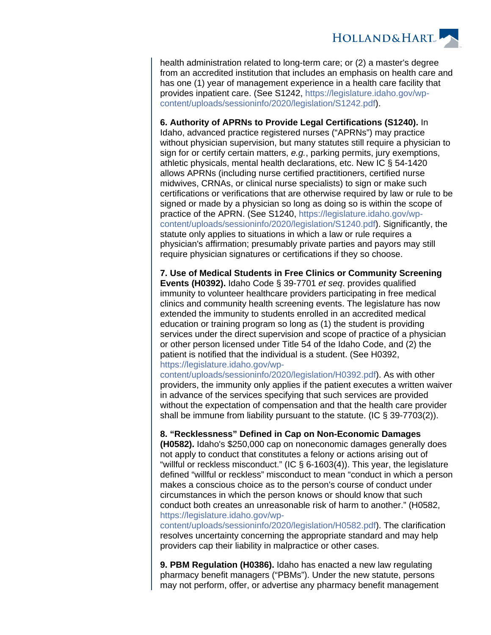

health administration related to long-term care; or (2) a master's degree from an accredited institution that includes an emphasis on health care and has one (1) year of management experience in a health care facility that provides inpatient care. (See S1242, [https://legislature.idaho.gov/wp](https://legislature.idaho.gov/wp-content/uploads/sessioninfo/2020/legislation/S1242.pdf)[content/uploads/sessioninfo/2020/legislation/S1242.pdf](https://legislature.idaho.gov/wp-content/uploads/sessioninfo/2020/legislation/S1242.pdf)).

**6. Authority of APRNs to Provide Legal Certifications (S1240).** In

Idaho, advanced practice registered nurses ("APRNs") may practice without physician supervision, but many statutes still require a physician to sign for or certify certain matters, e.g., parking permits, jury exemptions, athletic physicals, mental health declarations, etc. New IC § 54-1420 allows APRNs (including nurse certified practitioners, certified nurse midwives, CRNAs, or clinical nurse specialists) to sign or make such certifications or verifications that are otherwise required by law or rule to be signed or made by a physician so long as doing so is within the scope of practice of the APRN. (See S1240, [https://legislature.idaho.gov/wp](https://legislature.idaho.gov/wp-content/uploads/sessioninfo/2020/legislation/S1240.pdf)[content/uploads/sessioninfo/2020/legislation/S1240.pdf](https://legislature.idaho.gov/wp-content/uploads/sessioninfo/2020/legislation/S1240.pdf)). Significantly, the statute only applies to situations in which a law or rule requires a physician's affirmation; presumably private parties and payors may still require physician signatures or certifications if they so choose.

**7. Use of Medical Students in Free Clinics or Community Screening Events (H0392).** Idaho Code § 39-7701 et seq. provides qualified immunity to volunteer healthcare providers participating in free medical clinics and community health screening events. The legislature has now extended the immunity to students enrolled in an accredited medical education or training program so long as (1) the student is providing services under the direct supervision and scope of practice of a physician or other person licensed under Title 54 of the Idaho Code, and (2) the patient is notified that the individual is a student. (See H0392, [https://legislature.idaho.gov/wp-](https://legislature.idaho.gov/wp-content/uploads/sessioninfo/2020/legislation/H0392.pdf)

[content/uploads/sessioninfo/2020/legislation/H0392.pdf\)](https://legislature.idaho.gov/wp-content/uploads/sessioninfo/2020/legislation/H0392.pdf). As with other providers, the immunity only applies if the patient executes a written waiver in advance of the services specifying that such services are provided without the expectation of compensation and that the health care provider shall be immune from liability pursuant to the statute. (IC § 39-7703(2)).

## **8. "Recklessness" Defined in Cap on Non-Economic Damages**

**(H0582).** Idaho's \$250,000 cap on noneconomic damages generally does not apply to conduct that constitutes a felony or actions arising out of "willful or reckless misconduct." (IC  $\S$  6-1603(4)). This year, the legislature defined "willful or reckless" misconduct to mean "conduct in which a person makes a conscious choice as to the person's course of conduct under circumstances in which the person knows or should know that such conduct both creates an unreasonable risk of harm to another." (H0582, [https://legislature.idaho.gov/wp-](https://legislature.idaho.gov/wp-content/uploads/sessioninfo/2020/legislation/H0582.pdf)

[content/uploads/sessioninfo/2020/legislation/H0582.pdf\)](https://legislature.idaho.gov/wp-content/uploads/sessioninfo/2020/legislation/H0582.pdf). The clarification resolves uncertainty concerning the appropriate standard and may help providers cap their liability in malpractice or other cases.

**9. PBM Regulation (H0386).** Idaho has enacted a new law regulating pharmacy benefit managers ("PBMs"). Under the new statute, persons may not perform, offer, or advertise any pharmacy benefit management